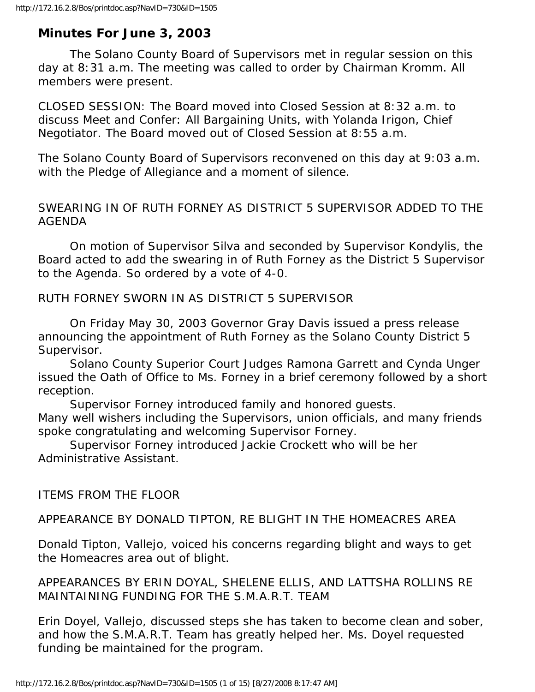# **Minutes For June 3, 2003**

 The Solano County Board of Supervisors met in regular session on this day at 8:31 a.m. The meeting was called to order by Chairman Kromm. All members were present.

CLOSED SESSION: The Board moved into Closed Session at 8:32 a.m. to discuss Meet and Confer: All Bargaining Units, with Yolanda Irigon, Chief Negotiator. The Board moved out of Closed Session at 8:55 a.m.

The Solano County Board of Supervisors reconvened on this day at 9:03 a.m. with the Pledge of Allegiance and a moment of silence.

## SWEARING IN OF RUTH FORNEY AS DISTRICT 5 SUPERVISOR ADDED TO THE AGENDA

 On motion of Supervisor Silva and seconded by Supervisor Kondylis, the Board acted to add the swearing in of Ruth Forney as the District 5 Supervisor to the Agenda. So ordered by a vote of 4-0.

RUTH FORNEY SWORN IN AS DISTRICT 5 SUPERVISOR

 On Friday May 30, 2003 Governor Gray Davis issued a press release announcing the appointment of Ruth Forney as the Solano County District 5 Supervisor.

 Solano County Superior Court Judges Ramona Garrett and Cynda Unger issued the Oath of Office to Ms. Forney in a brief ceremony followed by a short reception.

 Supervisor Forney introduced family and honored guests. Many well wishers including the Supervisors, union officials, and many friends spoke congratulating and welcoming Supervisor Forney.

 Supervisor Forney introduced Jackie Crockett who will be her Administrative Assistant.

ITEMS FROM THE FLOOR

APPEARANCE BY DONALD TIPTON, RE BLIGHT IN THE HOMEACRES AREA

Donald Tipton, Vallejo, voiced his concerns regarding blight and ways to get the Homeacres area out of blight.

APPEARANCES BY ERIN DOYAL, SHELENE ELLIS, AND LATTSHA ROLLINS RE MAINTAINING FUNDING FOR THE S.M.A.R.T. TEAM

Erin Doyel, Vallejo, discussed steps she has taken to become clean and sober, and how the S.M.A.R.T. Team has greatly helped her. Ms. Doyel requested funding be maintained for the program.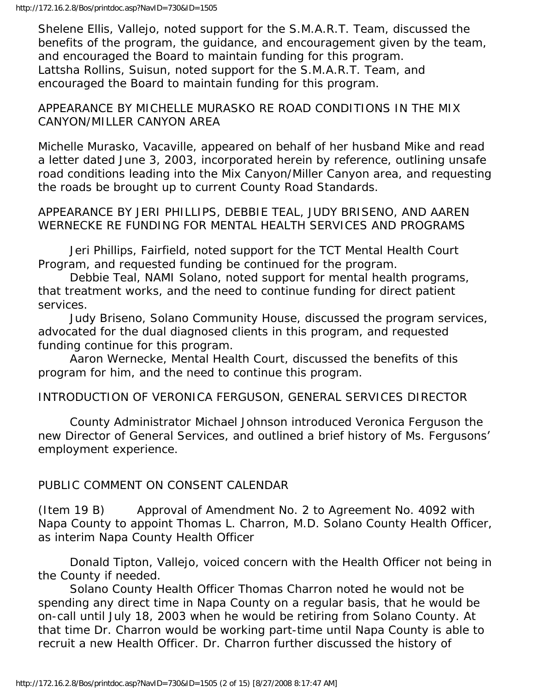Shelene Ellis, Vallejo, noted support for the S.M.A.R.T. Team, discussed the benefits of the program, the guidance, and encouragement given by the team, and encouraged the Board to maintain funding for this program. Lattsha Rollins, Suisun, noted support for the S.M.A.R.T. Team, and encouraged the Board to maintain funding for this program.

### APPEARANCE BY MICHELLE MURASKO RE ROAD CONDITIONS IN THE MIX CANYON/MILLER CANYON AREA

Michelle Murasko, Vacaville, appeared on behalf of her husband Mike and read a letter dated June 3, 2003, incorporated herein by reference, outlining unsafe road conditions leading into the Mix Canyon/Miller Canyon area, and requesting the roads be brought up to current County Road Standards.

APPEARANCE BY JERI PHILLIPS, DEBBIE TEAL, JUDY BRISENO, AND AAREN WERNECKE RE FUNDING FOR MENTAL HEALTH SERVICES AND PROGRAMS

 Jeri Phillips, Fairfield, noted support for the TCT Mental Health Court Program, and requested funding be continued for the program.

 Debbie Teal, NAMI Solano, noted support for mental health programs, that treatment works, and the need to continue funding for direct patient services.

 Judy Briseno, Solano Community House, discussed the program services, advocated for the dual diagnosed clients in this program, and requested funding continue for this program.

 Aaron Wernecke, Mental Health Court, discussed the benefits of this program for him, and the need to continue this program.

INTRODUCTION OF VERONICA FERGUSON, GENERAL SERVICES DIRECTOR

 County Administrator Michael Johnson introduced Veronica Ferguson the new Director of General Services, and outlined a brief history of Ms. Fergusons' employment experience.

## PUBLIC COMMENT ON CONSENT CALENDAR

(Item 19 B) Approval of Amendment No. 2 to Agreement No. 4092 with Napa County to appoint Thomas L. Charron, M.D. Solano County Health Officer, as interim Napa County Health Officer

 Donald Tipton, Vallejo, voiced concern with the Health Officer not being in the County if needed.

 Solano County Health Officer Thomas Charron noted he would not be spending any direct time in Napa County on a regular basis, that he would be on-call until July 18, 2003 when he would be retiring from Solano County. At that time Dr. Charron would be working part-time until Napa County is able to recruit a new Health Officer. Dr. Charron further discussed the history of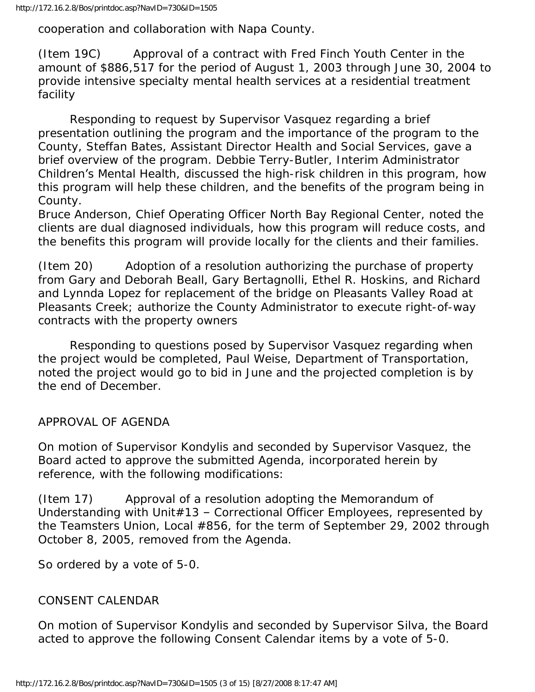cooperation and collaboration with Napa County.

(Item 19C) Approval of a contract with Fred Finch Youth Center in the amount of \$886,517 for the period of August 1, 2003 through June 30, 2004 to provide intensive specialty mental health services at a residential treatment facility

 Responding to request by Supervisor Vasquez regarding a brief presentation outlining the program and the importance of the program to the County, Steffan Bates, Assistant Director Health and Social Services, gave a brief overview of the program. Debbie Terry-Butler, Interim Administrator Children's Mental Health, discussed the high-risk children in this program, how this program will help these children, and the benefits of the program being in County.

Bruce Anderson, Chief Operating Officer North Bay Regional Center, noted the clients are dual diagnosed individuals, how this program will reduce costs, and the benefits this program will provide locally for the clients and their families.

(Item 20) Adoption of a resolution authorizing the purchase of property from Gary and Deborah Beall, Gary Bertagnolli, Ethel R. Hoskins, and Richard and Lynnda Lopez for replacement of the bridge on Pleasants Valley Road at Pleasants Creek; authorize the County Administrator to execute right-of-way contracts with the property owners

 Responding to questions posed by Supervisor Vasquez regarding when the project would be completed, Paul Weise, Department of Transportation, noted the project would go to bid in June and the projected completion is by the end of December.

APPROVAL OF AGENDA

On motion of Supervisor Kondylis and seconded by Supervisor Vasquez, the Board acted to approve the submitted Agenda, incorporated herein by reference, with the following modifications:

(Item 17) Approval of a resolution adopting the Memorandum of Understanding with Unit#13 – Correctional Officer Employees, represented by the Teamsters Union, Local #856, for the term of September 29, 2002 through October 8, 2005, removed from the Agenda.

So ordered by a vote of 5-0.

#### CONSENT CALENDAR

On motion of Supervisor Kondylis and seconded by Supervisor Silva, the Board acted to approve the following Consent Calendar items by a vote of 5-0.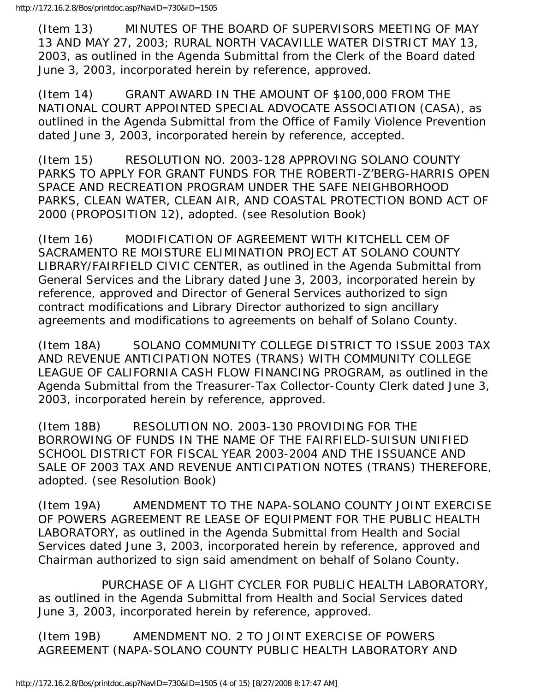(Item 13) MINUTES OF THE BOARD OF SUPERVISORS MEETING OF MAY 13 AND MAY 27, 2003; RURAL NORTH VACAVILLE WATER DISTRICT MAY 13, 2003, as outlined in the Agenda Submittal from the Clerk of the Board dated June 3, 2003, incorporated herein by reference, approved.

(Item 14) GRANT AWARD IN THE AMOUNT OF \$100,000 FROM THE NATIONAL COURT APPOINTED SPECIAL ADVOCATE ASSOCIATION (CASA), as outlined in the Agenda Submittal from the Office of Family Violence Prevention dated June 3, 2003, incorporated herein by reference, accepted.

(Item 15) RESOLUTION NO. 2003-128 APPROVING SOLANO COUNTY PARKS TO APPLY FOR GRANT FUNDS FOR THE ROBERTI-Z'BERG-HARRIS OPEN SPACE AND RECREATION PROGRAM UNDER THE SAFE NEIGHBORHOOD PARKS, CLEAN WATER, CLEAN AIR, AND COASTAL PROTECTION BOND ACT OF 2000 (PROPOSITION 12), adopted. (see Resolution Book)

(Item 16) MODIFICATION OF AGREEMENT WITH KITCHELL CEM OF SACRAMENTO RE MOISTURE ELIMINATION PROJECT AT SOLANO COUNTY LIBRARY/FAIRFIELD CIVIC CENTER, as outlined in the Agenda Submittal from General Services and the Library dated June 3, 2003, incorporated herein by reference, approved and Director of General Services authorized to sign contract modifications and Library Director authorized to sign ancillary agreements and modifications to agreements on behalf of Solano County.

(Item 18A) SOLANO COMMUNITY COLLEGE DISTRICT TO ISSUE 2003 TAX AND REVENUE ANTICIPATION NOTES (TRANS) WITH COMMUNITY COLLEGE LEAGUE OF CALIFORNIA CASH FLOW FINANCING PROGRAM, as outlined in the Agenda Submittal from the Treasurer-Tax Collector-County Clerk dated June 3, 2003, incorporated herein by reference, approved.

(Item 18B) RESOLUTION NO. 2003-130 PROVIDING FOR THE BORROWING OF FUNDS IN THE NAME OF THE FAIRFIELD-SUISUN UNIFIED SCHOOL DISTRICT FOR FISCAL YEAR 2003-2004 AND THE ISSUANCE AND SALE OF 2003 TAX AND REVENUE ANTICIPATION NOTES (TRANS) THEREFORE, adopted. (see Resolution Book)

(Item 19A) AMENDMENT TO THE NAPA-SOLANO COUNTY JOINT EXERCISE OF POWERS AGREEMENT RE LEASE OF EQUIPMENT FOR THE PUBLIC HEALTH LABORATORY, as outlined in the Agenda Submittal from Health and Social Services dated June 3, 2003, incorporated herein by reference, approved and Chairman authorized to sign said amendment on behalf of Solano County.

 PURCHASE OF A LIGHT CYCLER FOR PUBLIC HEALTH LABORATORY, as outlined in the Agenda Submittal from Health and Social Services dated June 3, 2003, incorporated herein by reference, approved.

(Item 19B) AMENDMENT NO. 2 TO JOINT EXERCISE OF POWERS AGREEMENT (NAPA-SOLANO COUNTY PUBLIC HEALTH LABORATORY AND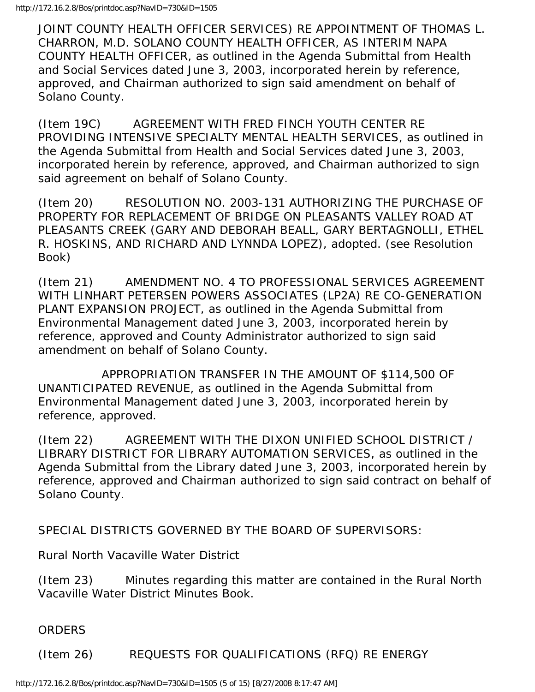JOINT COUNTY HEALTH OFFICER SERVICES) RE APPOINTMENT OF THOMAS L. CHARRON, M.D. SOLANO COUNTY HEALTH OFFICER, AS INTERIM NAPA COUNTY HEALTH OFFICER, as outlined in the Agenda Submittal from Health and Social Services dated June 3, 2003, incorporated herein by reference, approved, and Chairman authorized to sign said amendment on behalf of Solano County.

(Item 19C) AGREEMENT WITH FRED FINCH YOUTH CENTER RE PROVIDING INTENSIVE SPECIALTY MENTAL HEALTH SERVICES, as outlined in the Agenda Submittal from Health and Social Services dated June 3, 2003, incorporated herein by reference, approved, and Chairman authorized to sign said agreement on behalf of Solano County.

(Item 20) RESOLUTION NO. 2003-131 AUTHORIZING THE PURCHASE OF PROPERTY FOR REPLACEMENT OF BRIDGE ON PLEASANTS VALLEY ROAD AT PLEASANTS CREEK (GARY AND DEBORAH BEALL, GARY BERTAGNOLLI, ETHEL R. HOSKINS, AND RICHARD AND LYNNDA LOPEZ), adopted. (see Resolution Book)

(Item 21) AMENDMENT NO. 4 TO PROFESSIONAL SERVICES AGREEMENT WITH LINHART PETERSEN POWERS ASSOCIATES (LP2A) RE CO-GENERATION PLANT EXPANSION PROJECT, as outlined in the Agenda Submittal from Environmental Management dated June 3, 2003, incorporated herein by reference, approved and County Administrator authorized to sign said amendment on behalf of Solano County.

 APPROPRIATION TRANSFER IN THE AMOUNT OF \$114,500 OF UNANTICIPATED REVENUE, as outlined in the Agenda Submittal from Environmental Management dated June 3, 2003, incorporated herein by reference, approved.

(Item 22) AGREEMENT WITH THE DIXON UNIFIED SCHOOL DISTRICT / LIBRARY DISTRICT FOR LIBRARY AUTOMATION SERVICES, as outlined in the Agenda Submittal from the Library dated June 3, 2003, incorporated herein by reference, approved and Chairman authorized to sign said contract on behalf of Solano County.

SPECIAL DISTRICTS GOVERNED BY THE BOARD OF SUPERVISORS:

Rural North Vacaville Water District

(Item 23) Minutes regarding this matter are contained in the Rural North Vacaville Water District Minutes Book.

ORDERS

(Item 26) REQUESTS FOR QUALIFICATIONS (RFQ) RE ENERGY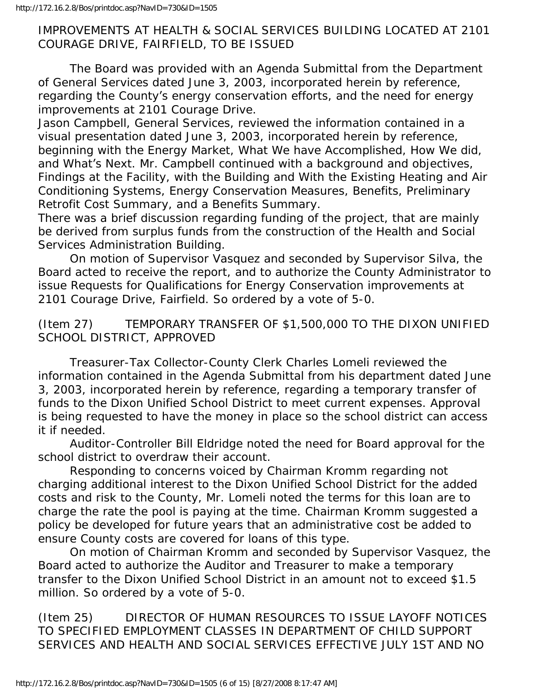### IMPROVEMENTS AT HEALTH & SOCIAL SERVICES BUILDING LOCATED AT 2101 COURAGE DRIVE, FAIRFIELD, TO BE ISSUED

 The Board was provided with an Agenda Submittal from the Department of General Services dated June 3, 2003, incorporated herein by reference, regarding the County's energy conservation efforts, and the need for energy improvements at 2101 Courage Drive.

Jason Campbell, General Services, reviewed the information contained in a visual presentation dated June 3, 2003, incorporated herein by reference, beginning with the Energy Market, What We have Accomplished, How We did, and What's Next. Mr. Campbell continued with a background and objectives, Findings at the Facility, with the Building and With the Existing Heating and Air Conditioning Systems, Energy Conservation Measures, Benefits, Preliminary Retrofit Cost Summary, and a Benefits Summary.

There was a brief discussion regarding funding of the project, that are mainly be derived from surplus funds from the construction of the Health and Social Services Administration Building.

 On motion of Supervisor Vasquez and seconded by Supervisor Silva, the Board acted to receive the report, and to authorize the County Administrator to issue Requests for Qualifications for Energy Conservation improvements at 2101 Courage Drive, Fairfield. So ordered by a vote of 5-0.

(Item 27) TEMPORARY TRANSFER OF \$1,500,000 TO THE DIXON UNIFIED SCHOOL DISTRICT, APPROVED

 Treasurer-Tax Collector-County Clerk Charles Lomeli reviewed the information contained in the Agenda Submittal from his department dated June 3, 2003, incorporated herein by reference, regarding a temporary transfer of funds to the Dixon Unified School District to meet current expenses. Approval is being requested to have the money in place so the school district can access it if needed.

 Auditor-Controller Bill Eldridge noted the need for Board approval for the school district to overdraw their account.

 Responding to concerns voiced by Chairman Kromm regarding not charging additional interest to the Dixon Unified School District for the added costs and risk to the County, Mr. Lomeli noted the terms for this loan are to charge the rate the pool is paying at the time. Chairman Kromm suggested a policy be developed for future years that an administrative cost be added to ensure County costs are covered for loans of this type.

 On motion of Chairman Kromm and seconded by Supervisor Vasquez, the Board acted to authorize the Auditor and Treasurer to make a temporary transfer to the Dixon Unified School District in an amount not to exceed \$1.5 million. So ordered by a vote of 5-0.

(Item 25) DIRECTOR OF HUMAN RESOURCES TO ISSUE LAYOFF NOTICES TO SPECIFIED EMPLOYMENT CLASSES IN DEPARTMENT OF CHILD SUPPORT SERVICES AND HEALTH AND SOCIAL SERVICES EFFECTIVE JULY 1ST AND NO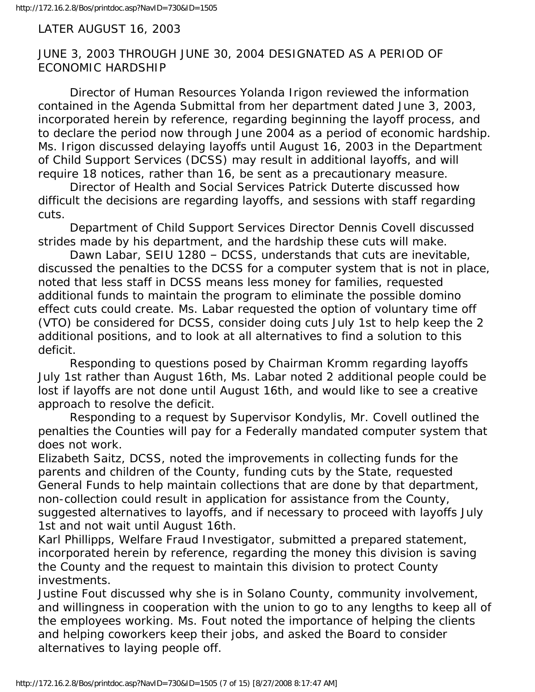#### LATER AUGUST 16, 2003

### JUNE 3, 2003 THROUGH JUNE 30, 2004 DESIGNATED AS A PERIOD OF ECONOMIC HARDSHIP

 Director of Human Resources Yolanda Irigon reviewed the information contained in the Agenda Submittal from her department dated June 3, 2003, incorporated herein by reference, regarding beginning the layoff process, and to declare the period now through June 2004 as a period of economic hardship. Ms. Irigon discussed delaying layoffs until August 16, 2003 in the Department of Child Support Services (DCSS) may result in additional layoffs, and will require 18 notices, rather than 16, be sent as a precautionary measure.

 Director of Health and Social Services Patrick Duterte discussed how difficult the decisions are regarding layoffs, and sessions with staff regarding cuts.

 Department of Child Support Services Director Dennis Covell discussed strides made by his department, and the hardship these cuts will make.

 Dawn Labar, SEIU 1280 – DCSS, understands that cuts are inevitable, discussed the penalties to the DCSS for a computer system that is not in place, noted that less staff in DCSS means less money for families, requested additional funds to maintain the program to eliminate the possible domino effect cuts could create. Ms. Labar requested the option of voluntary time off (VTO) be considered for DCSS, consider doing cuts July 1st to help keep the 2 additional positions, and to look at all alternatives to find a solution to this deficit.

 Responding to questions posed by Chairman Kromm regarding layoffs July 1st rather than August 16th, Ms. Labar noted 2 additional people could be lost if layoffs are not done until August 16th, and would like to see a creative approach to resolve the deficit.

 Responding to a request by Supervisor Kondylis, Mr. Covell outlined the penalties the Counties will pay for a Federally mandated computer system that does not work.

Elizabeth Saitz, DCSS, noted the improvements in collecting funds for the parents and children of the County, funding cuts by the State, requested General Funds to help maintain collections that are done by that department, non-collection could result in application for assistance from the County, suggested alternatives to layoffs, and if necessary to proceed with layoffs July 1st and not wait until August 16th.

Karl Phillipps, Welfare Fraud Investigator, submitted a prepared statement, incorporated herein by reference, regarding the money this division is saving the County and the request to maintain this division to protect County investments.

Justine Fout discussed why she is in Solano County, community involvement, and willingness in cooperation with the union to go to any lengths to keep all of the employees working. Ms. Fout noted the importance of helping the clients and helping coworkers keep their jobs, and asked the Board to consider alternatives to laying people off.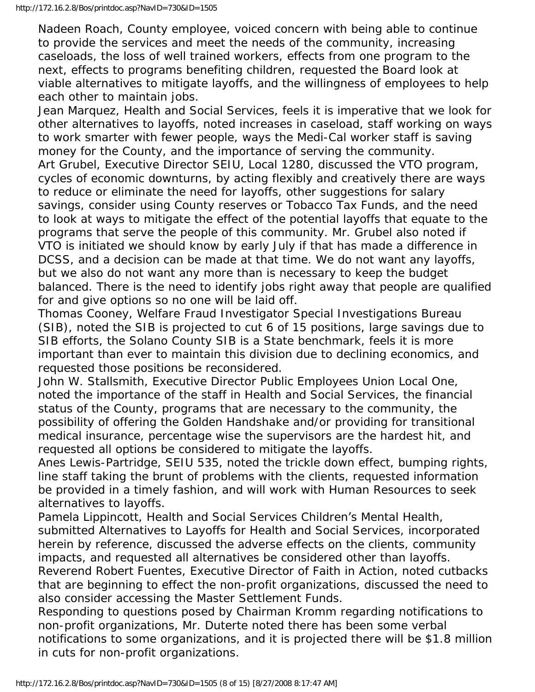Nadeen Roach, County employee, voiced concern with being able to continue to provide the services and meet the needs of the community, increasing caseloads, the loss of well trained workers, effects from one program to the next, effects to programs benefiting children, requested the Board look at viable alternatives to mitigate layoffs, and the willingness of employees to help each other to maintain jobs.

Jean Marquez, Health and Social Services, feels it is imperative that we look for other alternatives to layoffs, noted increases in caseload, staff working on ways to work smarter with fewer people, ways the Medi-Cal worker staff is saving money for the County, and the importance of serving the community. Art Grubel, Executive Director SEIU, Local 1280, discussed the VTO program, cycles of economic downturns, by acting flexibly and creatively there are ways to reduce or eliminate the need for layoffs, other suggestions for salary savings, consider using County reserves or Tobacco Tax Funds, and the need to look at ways to mitigate the effect of the potential layoffs that equate to the programs that serve the people of this community. Mr. Grubel also noted if VTO is initiated we should know by early July if that has made a difference in DCSS, and a decision can be made at that time. We do not want any layoffs, but we also do not want any more than is necessary to keep the budget balanced. There is the need to identify jobs right away that people are qualified for and give options so no one will be laid off.

Thomas Cooney, Welfare Fraud Investigator Special Investigations Bureau (SIB), noted the SIB is projected to cut 6 of 15 positions, large savings due to SIB efforts, the Solano County SIB is a State benchmark, feels it is more important than ever to maintain this division due to declining economics, and requested those positions be reconsidered.

John W. Stallsmith, Executive Director Public Employees Union Local One, noted the importance of the staff in Health and Social Services, the financial status of the County, programs that are necessary to the community, the possibility of offering the Golden Handshake and/or providing for transitional medical insurance, percentage wise the supervisors are the hardest hit, and requested all options be considered to mitigate the layoffs.

Anes Lewis-Partridge, SEIU 535, noted the trickle down effect, bumping rights, line staff taking the brunt of problems with the clients, requested information be provided in a timely fashion, and will work with Human Resources to seek alternatives to layoffs.

Pamela Lippincott, Health and Social Services Children's Mental Health, submitted Alternatives to Layoffs for Health and Social Services, incorporated herein by reference, discussed the adverse effects on the clients, community impacts, and requested all alternatives be considered other than layoffs.

Reverend Robert Fuentes, Executive Director of Faith in Action, noted cutbacks that are beginning to effect the non-profit organizations, discussed the need to also consider accessing the Master Settlement Funds.

Responding to questions posed by Chairman Kromm regarding notifications to non-profit organizations, Mr. Duterte noted there has been some verbal notifications to some organizations, and it is projected there will be \$1.8 million in cuts for non-profit organizations.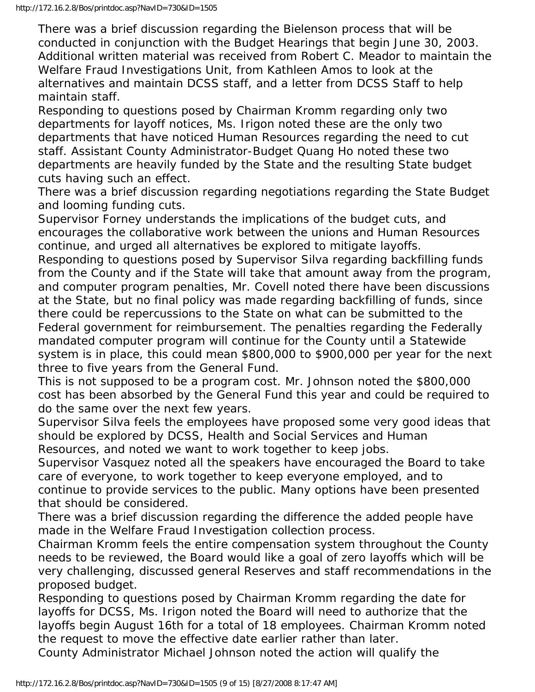There was a brief discussion regarding the Bielenson process that will be conducted in conjunction with the Budget Hearings that begin June 30, 2003. Additional written material was received from Robert C. Meador to maintain the Welfare Fraud Investigations Unit, from Kathleen Amos to look at the alternatives and maintain DCSS staff, and a letter from DCSS Staff to help maintain staff.

Responding to questions posed by Chairman Kromm regarding only two departments for layoff notices, Ms. Irigon noted these are the only two departments that have noticed Human Resources regarding the need to cut staff. Assistant County Administrator-Budget Quang Ho noted these two departments are heavily funded by the State and the resulting State budget cuts having such an effect.

There was a brief discussion regarding negotiations regarding the State Budget and looming funding cuts.

Supervisor Forney understands the implications of the budget cuts, and encourages the collaborative work between the unions and Human Resources continue, and urged all alternatives be explored to mitigate layoffs.

Responding to questions posed by Supervisor Silva regarding backfilling funds from the County and if the State will take that amount away from the program, and computer program penalties, Mr. Covell noted there have been discussions at the State, but no final policy was made regarding backfilling of funds, since there could be repercussions to the State on what can be submitted to the Federal government for reimbursement. The penalties regarding the Federally mandated computer program will continue for the County until a Statewide system is in place, this could mean \$800,000 to \$900,000 per year for the next three to five years from the General Fund.

This is not supposed to be a program cost. Mr. Johnson noted the \$800,000 cost has been absorbed by the General Fund this year and could be required to do the same over the next few years.

Supervisor Silva feels the employees have proposed some very good ideas that should be explored by DCSS, Health and Social Services and Human Resources, and noted we want to work together to keep jobs.

Supervisor Vasquez noted all the speakers have encouraged the Board to take care of everyone, to work together to keep everyone employed, and to continue to provide services to the public. Many options have been presented that should be considered.

There was a brief discussion regarding the difference the added people have made in the Welfare Fraud Investigation collection process.

Chairman Kromm feels the entire compensation system throughout the County needs to be reviewed, the Board would like a goal of zero layoffs which will be very challenging, discussed general Reserves and staff recommendations in the proposed budget.

Responding to questions posed by Chairman Kromm regarding the date for layoffs for DCSS, Ms. Irigon noted the Board will need to authorize that the layoffs begin August 16th for a total of 18 employees. Chairman Kromm noted the request to move the effective date earlier rather than later.

County Administrator Michael Johnson noted the action will qualify the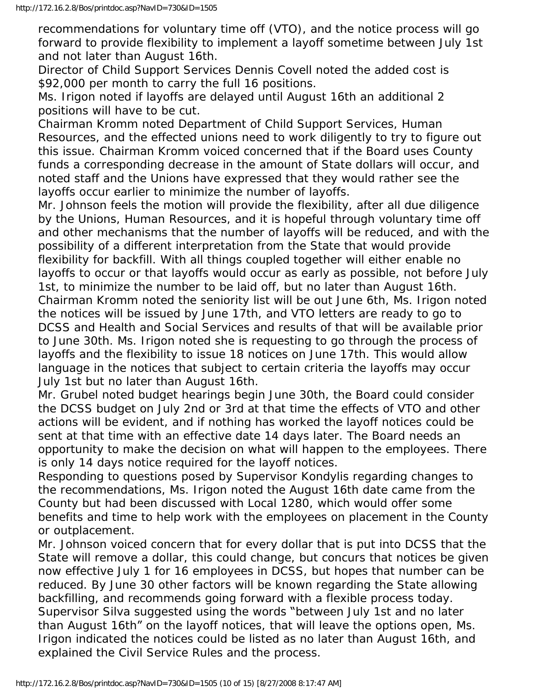recommendations for voluntary time off (VTO), and the notice process will go forward to provide flexibility to implement a layoff sometime between July 1st and not later than August 16th.

Director of Child Support Services Dennis Covell noted the added cost is \$92,000 per month to carry the full 16 positions.

Ms. Irigon noted if layoffs are delayed until August 16th an additional 2 positions will have to be cut.

Chairman Kromm noted Department of Child Support Services, Human Resources, and the effected unions need to work diligently to try to figure out this issue. Chairman Kromm voiced concerned that if the Board uses County funds a corresponding decrease in the amount of State dollars will occur, and noted staff and the Unions have expressed that they would rather see the layoffs occur earlier to minimize the number of layoffs.

Mr. Johnson feels the motion will provide the flexibility, after all due diligence by the Unions, Human Resources, and it is hopeful through voluntary time off and other mechanisms that the number of layoffs will be reduced, and with the possibility of a different interpretation from the State that would provide flexibility for backfill. With all things coupled together will either enable no layoffs to occur or that layoffs would occur as early as possible, not before July 1st, to minimize the number to be laid off, but no later than August 16th. Chairman Kromm noted the seniority list will be out June 6th, Ms. Irigon noted the notices will be issued by June 17th, and VTO letters are ready to go to DCSS and Health and Social Services and results of that will be available prior to June 30th. Ms. Irigon noted she is requesting to go through the process of layoffs and the flexibility to issue 18 notices on June 17th. This would allow language in the notices that subject to certain criteria the layoffs may occur July 1st but no later than August 16th.

Mr. Grubel noted budget hearings begin June 30th, the Board could consider the DCSS budget on July 2nd or 3rd at that time the effects of VTO and other actions will be evident, and if nothing has worked the layoff notices could be sent at that time with an effective date 14 days later. The Board needs an opportunity to make the decision on what will happen to the employees. There is only 14 days notice required for the layoff notices.

Responding to questions posed by Supervisor Kondylis regarding changes to the recommendations, Ms. Irigon noted the August 16th date came from the County but had been discussed with Local 1280, which would offer some benefits and time to help work with the employees on placement in the County or outplacement.

Mr. Johnson voiced concern that for every dollar that is put into DCSS that the State will remove a dollar, this could change, but concurs that notices be given now effective July 1 for 16 employees in DCSS, but hopes that number can be reduced. By June 30 other factors will be known regarding the State allowing backfilling, and recommends going forward with a flexible process today. Supervisor Silva suggested using the words "between July 1st and no later than August 16th" on the layoff notices, that will leave the options open, Ms. Irigon indicated the notices could be listed as no later than August 16th, and explained the Civil Service Rules and the process.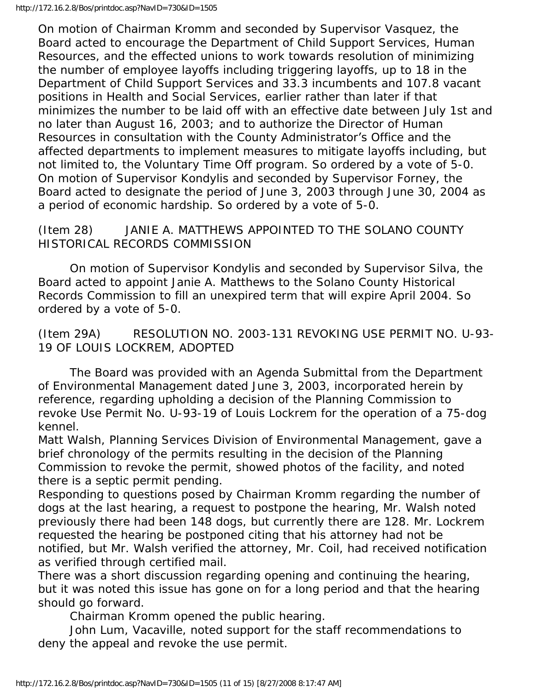On motion of Chairman Kromm and seconded by Supervisor Vasquez, the Board acted to encourage the Department of Child Support Services, Human Resources, and the effected unions to work towards resolution of minimizing the number of employee layoffs including triggering layoffs, up to 18 in the Department of Child Support Services and 33.3 incumbents and 107.8 vacant positions in Health and Social Services, earlier rather than later if that minimizes the number to be laid off with an effective date between July 1st and no later than August 16, 2003; and to authorize the Director of Human Resources in consultation with the County Administrator's Office and the affected departments to implement measures to mitigate layoffs including, but not limited to, the Voluntary Time Off program. So ordered by a vote of 5-0. On motion of Supervisor Kondylis and seconded by Supervisor Forney, the Board acted to designate the period of June 3, 2003 through June 30, 2004 as a period of economic hardship. So ordered by a vote of 5-0.

## (Item 28) JANIE A. MATTHEWS APPOINTED TO THE SOLANO COUNTY HISTORICAL RECORDS COMMISSION

 On motion of Supervisor Kondylis and seconded by Supervisor Silva, the Board acted to appoint Janie A. Matthews to the Solano County Historical Records Commission to fill an unexpired term that will expire April 2004. So ordered by a vote of 5-0.

(Item 29A) RESOLUTION NO. 2003-131 REVOKING USE PERMIT NO. U-93- 19 OF LOUIS LOCKREM, ADOPTED

 The Board was provided with an Agenda Submittal from the Department of Environmental Management dated June 3, 2003, incorporated herein by reference, regarding upholding a decision of the Planning Commission to revoke Use Permit No. U-93-19 of Louis Lockrem for the operation of a 75-dog kennel.

Matt Walsh, Planning Services Division of Environmental Management, gave a brief chronology of the permits resulting in the decision of the Planning Commission to revoke the permit, showed photos of the facility, and noted there is a septic permit pending.

Responding to questions posed by Chairman Kromm regarding the number of dogs at the last hearing, a request to postpone the hearing, Mr. Walsh noted previously there had been 148 dogs, but currently there are 128. Mr. Lockrem requested the hearing be postponed citing that his attorney had not be notified, but Mr. Walsh verified the attorney, Mr. Coil, had received notification as verified through certified mail.

There was a short discussion regarding opening and continuing the hearing, but it was noted this issue has gone on for a long period and that the hearing should go forward.

Chairman Kromm opened the public hearing.

 John Lum, Vacaville, noted support for the staff recommendations to deny the appeal and revoke the use permit.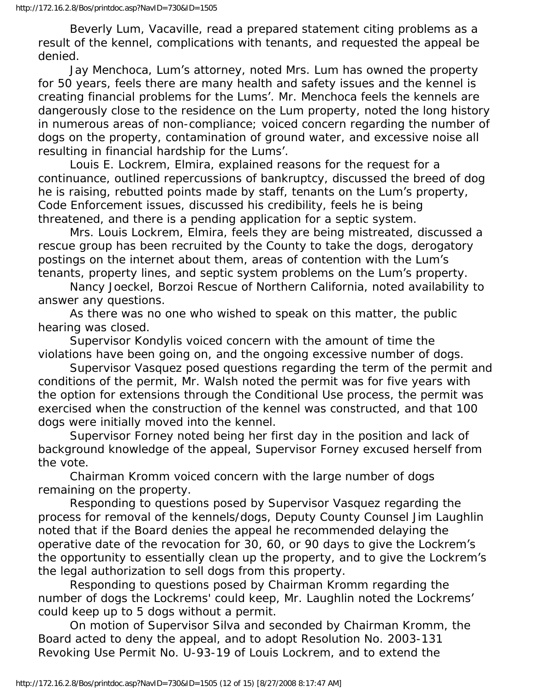Beverly Lum, Vacaville, read a prepared statement citing problems as a result of the kennel, complications with tenants, and requested the appeal be denied.

 Jay Menchoca, Lum's attorney, noted Mrs. Lum has owned the property for 50 years, feels there are many health and safety issues and the kennel is creating financial problems for the Lums'. Mr. Menchoca feels the kennels are dangerously close to the residence on the Lum property, noted the long history in numerous areas of non-compliance; voiced concern regarding the number of dogs on the property, contamination of ground water, and excessive noise all resulting in financial hardship for the Lums'.

 Louis E. Lockrem, Elmira, explained reasons for the request for a continuance, outlined repercussions of bankruptcy, discussed the breed of dog he is raising, rebutted points made by staff, tenants on the Lum's property, Code Enforcement issues, discussed his credibility, feels he is being threatened, and there is a pending application for a septic system.

 Mrs. Louis Lockrem, Elmira, feels they are being mistreated, discussed a rescue group has been recruited by the County to take the dogs, derogatory postings on the internet about them, areas of contention with the Lum's tenants, property lines, and septic system problems on the Lum's property.

 Nancy Joeckel, Borzoi Rescue of Northern California, noted availability to answer any questions.

 As there was no one who wished to speak on this matter, the public hearing was closed.

 Supervisor Kondylis voiced concern with the amount of time the violations have been going on, and the ongoing excessive number of dogs.

 Supervisor Vasquez posed questions regarding the term of the permit and conditions of the permit, Mr. Walsh noted the permit was for five years with the option for extensions through the Conditional Use process, the permit was exercised when the construction of the kennel was constructed, and that 100 dogs were initially moved into the kennel.

 Supervisor Forney noted being her first day in the position and lack of background knowledge of the appeal, Supervisor Forney excused herself from the vote.

 Chairman Kromm voiced concern with the large number of dogs remaining on the property.

 Responding to questions posed by Supervisor Vasquez regarding the process for removal of the kennels/dogs, Deputy County Counsel Jim Laughlin noted that if the Board denies the appeal he recommended delaying the operative date of the revocation for 30, 60, or 90 days to give the Lockrem's the opportunity to essentially clean up the property, and to give the Lockrem's the legal authorization to sell dogs from this property.

 Responding to questions posed by Chairman Kromm regarding the number of dogs the Lockrems' could keep, Mr. Laughlin noted the Lockrems' could keep up to 5 dogs without a permit.

 On motion of Supervisor Silva and seconded by Chairman Kromm, the Board acted to deny the appeal, and to adopt Resolution No. 2003-131 Revoking Use Permit No. U-93-19 of Louis Lockrem, and to extend the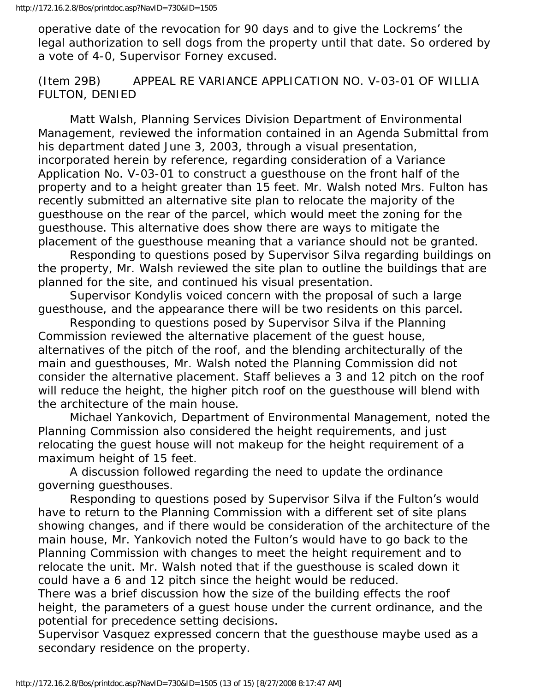operative date of the revocation for 90 days and to give the Lockrems' the legal authorization to sell dogs from the property until that date. So ordered by a vote of 4-0, Supervisor Forney excused.

(Item 29B) APPEAL RE VARIANCE APPLICATION NO. V-03-01 OF WILLIA FULTON, DENIED

 Matt Walsh, Planning Services Division Department of Environmental Management, reviewed the information contained in an Agenda Submittal from his department dated June 3, 2003, through a visual presentation, incorporated herein by reference, regarding consideration of a Variance Application No. V-03-01 to construct a guesthouse on the front half of the property and to a height greater than 15 feet. Mr. Walsh noted Mrs. Fulton has recently submitted an alternative site plan to relocate the majority of the guesthouse on the rear of the parcel, which would meet the zoning for the guesthouse. This alternative does show there are ways to mitigate the placement of the guesthouse meaning that a variance should not be granted.

 Responding to questions posed by Supervisor Silva regarding buildings on the property, Mr. Walsh reviewed the site plan to outline the buildings that are planned for the site, and continued his visual presentation.

 Supervisor Kondylis voiced concern with the proposal of such a large guesthouse, and the appearance there will be two residents on this parcel.

 Responding to questions posed by Supervisor Silva if the Planning Commission reviewed the alternative placement of the guest house, alternatives of the pitch of the roof, and the blending architecturally of the main and guesthouses, Mr. Walsh noted the Planning Commission did not consider the alternative placement. Staff believes a 3 and 12 pitch on the roof will reduce the height, the higher pitch roof on the guesthouse will blend with the architecture of the main house.

 Michael Yankovich, Department of Environmental Management, noted the Planning Commission also considered the height requirements, and just relocating the guest house will not makeup for the height requirement of a maximum height of 15 feet.

 A discussion followed regarding the need to update the ordinance governing guesthouses.

 Responding to questions posed by Supervisor Silva if the Fulton's would have to return to the Planning Commission with a different set of site plans showing changes, and if there would be consideration of the architecture of the main house, Mr. Yankovich noted the Fulton's would have to go back to the Planning Commission with changes to meet the height requirement and to relocate the unit. Mr. Walsh noted that if the guesthouse is scaled down it could have a 6 and 12 pitch since the height would be reduced.

There was a brief discussion how the size of the building effects the roof height, the parameters of a guest house under the current ordinance, and the potential for precedence setting decisions.

Supervisor Vasquez expressed concern that the guesthouse maybe used as a secondary residence on the property.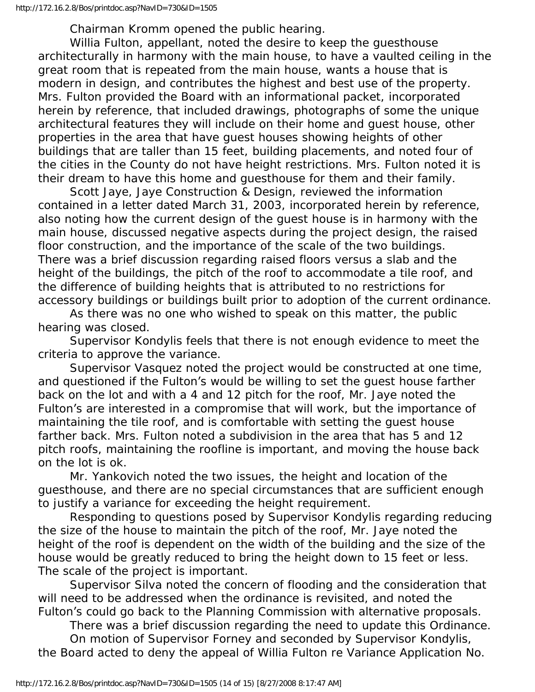Chairman Kromm opened the public hearing.

 Willia Fulton, appellant, noted the desire to keep the guesthouse architecturally in harmony with the main house, to have a vaulted ceiling in the great room that is repeated from the main house, wants a house that is modern in design, and contributes the highest and best use of the property. Mrs. Fulton provided the Board with an informational packet, incorporated herein by reference, that included drawings, photographs of some the unique architectural features they will include on their home and guest house, other properties in the area that have guest houses showing heights of other buildings that are taller than 15 feet, building placements, and noted four of the cities in the County do not have height restrictions. Mrs. Fulton noted it is their dream to have this home and guesthouse for them and their family.

 Scott Jaye, Jaye Construction & Design, reviewed the information contained in a letter dated March 31, 2003, incorporated herein by reference, also noting how the current design of the guest house is in harmony with the main house, discussed negative aspects during the project design, the raised floor construction, and the importance of the scale of the two buildings. There was a brief discussion regarding raised floors versus a slab and the height of the buildings, the pitch of the roof to accommodate a tile roof, and the difference of building heights that is attributed to no restrictions for accessory buildings or buildings built prior to adoption of the current ordinance.

 As there was no one who wished to speak on this matter, the public hearing was closed.

 Supervisor Kondylis feels that there is not enough evidence to meet the criteria to approve the variance.

 Supervisor Vasquez noted the project would be constructed at one time, and questioned if the Fulton's would be willing to set the guest house farther back on the lot and with a 4 and 12 pitch for the roof, Mr. Jaye noted the Fulton's are interested in a compromise that will work, but the importance of maintaining the tile roof, and is comfortable with setting the guest house farther back. Mrs. Fulton noted a subdivision in the area that has 5 and 12 pitch roofs, maintaining the roofline is important, and moving the house back on the lot is ok.

 Mr. Yankovich noted the two issues, the height and location of the guesthouse, and there are no special circumstances that are sufficient enough to justify a variance for exceeding the height requirement.

 Responding to questions posed by Supervisor Kondylis regarding reducing the size of the house to maintain the pitch of the roof, Mr. Jaye noted the height of the roof is dependent on the width of the building and the size of the house would be greatly reduced to bring the height down to 15 feet or less. The scale of the project is important.

 Supervisor Silva noted the concern of flooding and the consideration that will need to be addressed when the ordinance is revisited, and noted the Fulton's could go back to the Planning Commission with alternative proposals.

 There was a brief discussion regarding the need to update this Ordinance. On motion of Supervisor Forney and seconded by Supervisor Kondylis, the Board acted to deny the appeal of Willia Fulton re Variance Application No.